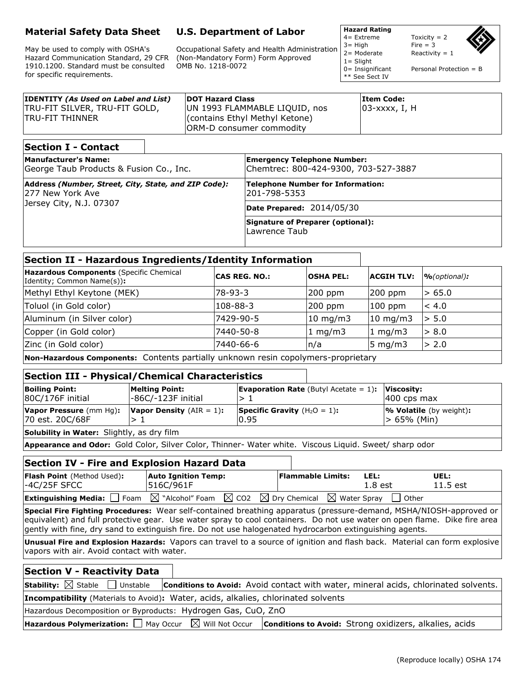## **Material Safety Data Sheet**

May be used to comply with OSHA's Hazard Communication Standard, 29 CFR 1910.1200. Standard must be consulted for specific requirements.

# **U.S. Department of Labor**

Occupational Safety and Health Administration (Non-Mandatory Form) Form Approved OMB No. 1218-0072

**Hazard Rating**

 $1 =$  Slight

\*\* See Sect IV

 $4=$  Extreme Toxicity = 2  $3 = High$  Fire = 3<br>  $2 = Modelrate$  Reactivity Reactivity =  $1$ 

0= Insignificant Personal Protection = B

| <b>IDENTITY (As Used on Label and List)</b><br><b>TRU-FIT SILVER, TRU-FIT GOLD,</b><br><b>ITRU-FIT THINNER</b> | <b>DOT Hazard Class</b><br>UN 1993 FLAMMABLE LIQUID, nos<br>(contains Ethyl Methyl Ketone)<br>ORM-D consumer commodity | <b>Item Code:</b><br>103-xxxx, I, H |
|----------------------------------------------------------------------------------------------------------------|------------------------------------------------------------------------------------------------------------------------|-------------------------------------|
| <b>Section I - Contact</b>                                                                                     |                                                                                                                        |                                     |
| <b>Manufacturer's Name:</b><br>George Taub Products & Fusion Co., Inc.                                         | <b>Emergency Telephone Number:</b><br>lChemtrec: 800-424-9300, 703-527-3887                                            |                                     |

| George Taub Products & Fusion Co., Inc.                                                             | Chemtrec: 800-424-9300, 703-527-3887                |  |
|-----------------------------------------------------------------------------------------------------|-----------------------------------------------------|--|
| Address (Number, Street, City, State, and ZIP Code):<br>277 New York Ave<br>Jersey City, N.J. 07307 | Telephone Number for Information:<br>201-798-5353   |  |
|                                                                                                     | Date Prepared: 2014/05/30                           |  |
|                                                                                                     | Signature of Preparer (optional):<br>lLawrence Taub |  |

### **Section II - Hazardous Ingredients/Identity Information**

| Hazardous Components (Specific Chemical<br>Identity; Common Name(s)):             | <b>CAS REG. NO.:</b> | <b>OSHA PEL:</b>  | <b>ACGIH TLV:</b> | $\%$ (optional): |
|-----------------------------------------------------------------------------------|----------------------|-------------------|-------------------|------------------|
| Methyl Ethyl Keytone (MEK)                                                        | l78-93-3             | $200$ ppm         | $200$ ppm         | > 65.0           |
| Toluol (in Gold color)                                                            | 108-88-3             | $200$ ppm         | $100$ ppm         | < 4.0            |
| Aluminum (in Silver color)                                                        | 7429-90-5            | $10 \text{ mg/m}$ | $10 \text{ mg/m}$ | > 5.0            |
| Copper (in Gold color)                                                            | 7440-50-8            | $1 \text{ mg/m}$  | 1 mg/m $3$        | > 8.0            |
| Zinc (in Gold color)                                                              | 7440-66-6            | n/a               | 5 mg/m $3$        | > 2.0            |
| New Herewieus Componenter Contante partially unknown rocin conolymers propriatany |                      |                   |                   |                  |

**Non-Hazardous Components:** Contents partially unknown resin copolymers-proprietary

### **Section III - Physical/Chemical Characteristics**

| <b>Boiling Point:</b><br>80C/176F initial         | <b>Melting Point:</b><br>-86C/-123F initial | <b>Evaporation Rate</b> (Butyl Acetate = $1$ ): <b>Viscosity:</b> | $ 400 \cosh \theta$                            |
|---------------------------------------------------|---------------------------------------------|-------------------------------------------------------------------|------------------------------------------------|
| Vapor Pressure (mm Hg):<br>70 est. 20C/68F        | <b>Vapor Density</b> $(AIR = 1)$ :          | <b>Specific Gravity</b> $(H_2O = 1)$ :<br>0.95                    | <b>% Volatile</b> (by weight):<br> > 65% (Min) |
| <b>Solubility in Water:</b> Slightly, as dry film |                                             |                                                                   |                                                |
|                                                   |                                             |                                                                   |                                                |

**Appearance and Odor:** Gold Color, Silver Color, Thinner- Water white. Viscous Liquid. Sweet/ sharp odor

## **Section IV - Fire and Explosion Hazard Data**

| <b>Flash Point</b> (Method Used):<br>$-4C/25F$ SFCC                                                                                 | <b>Auto Ignition Temp:</b><br>516C/961F |  | <b>Flammable Limits:</b> | LEL.<br>$1.8$ est |           | UEL:<br>11.5 est |  |
|-------------------------------------------------------------------------------------------------------------------------------------|-----------------------------------------|--|--------------------------|-------------------|-----------|------------------|--|
| <b>Extinguishing Media:</b> $\Box$ Foam $\boxtimes$ "Alcohol" Foam $\boxtimes$ CO2 $\boxtimes$ Dry Chemical $\boxtimes$ Water Spray |                                         |  |                          |                   | l l Other |                  |  |

**Special Fire Fighting Procedures:** Wear self-contained breathing apparatus (pressure-demand, MSHA/NIOSH-approved or equivalent) and full protective gear. Use water spray to cool containers. Do not use water on open flame. Dike fire area gently with fine, dry sand to extinguish fire. Do not use halogenated hydrocarbon extinguishing agents.

**Unusual Fire and Explosion Hazards:** Vapors can travel to a source of ignition and flash back. Material can form explosive vapors with air. Avoid contact with water.

#### **Section V - Reactivity Data**

| <b>Stability:</b> $\boxtimes$ Stable $\Box$ Unstable <b>Conditions to Avoid:</b> Avoid contact with water, mineral acids, chlorinated solvents. |
|-------------------------------------------------------------------------------------------------------------------------------------------------|
| Incompatibility (Materials to Avoid): Water, acids, alkalies, chlorinated solvents                                                              |

Hazardous Decomposition or Byproducts: Hydrogen Gas, CuO, ZnO

**Hazardous Polymerization:** □ May Occur  $\boxtimes$  Will Not Occur **| Conditions to Avoid:** Strong oxidizers, alkalies, acids